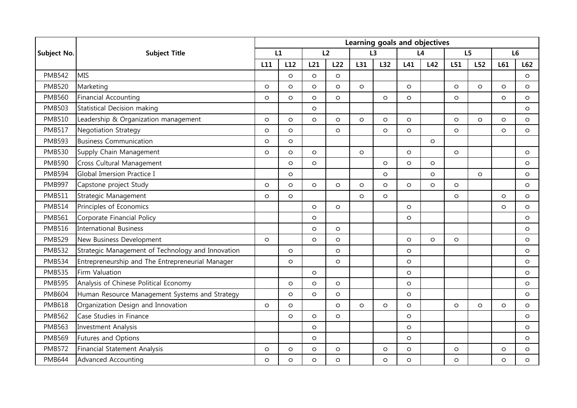|                    | <b>Subject Title</b>                              | Learning goals and objectives |         |         |         |         |         |         |         |                |         |                |         |
|--------------------|---------------------------------------------------|-------------------------------|---------|---------|---------|---------|---------|---------|---------|----------------|---------|----------------|---------|
| <b>Subject No.</b> |                                                   | L1                            |         | L2      |         | L3      |         | L4      |         | L <sub>5</sub> |         | L <sub>6</sub> |         |
|                    |                                                   | L11                           | L12     | L21     | L22     | L31     | L32     | L41     | L42     | L51            | L52     | L61            | L62     |
| <b>PMB542</b>      | <b>MIS</b>                                        |                               | $\circ$ | $\circ$ | $\circ$ |         |         |         |         |                |         |                | $\circ$ |
| <b>PMB520</b>      | Marketing                                         | $\circ$                       | $\circ$ | $\circ$ | $\circ$ | $\circ$ |         | $\circ$ |         | $\circ$        | $\circ$ | $\Omega$       | $\circ$ |
| <b>PMB560</b>      | <b>Financial Accounting</b>                       | $\circ$                       | $\circ$ | $\circ$ | $\circ$ |         | $\circ$ | $\circ$ |         | $\circ$        |         | $\circ$        | $\circ$ |
| <b>PMB503</b>      | Statistical Decision making                       |                               |         | $\circ$ |         |         |         |         |         |                |         |                | $\circ$ |
| <b>PMB510</b>      | Leadership & Organization management              | $\circ$                       | $\circ$ | $\circ$ | $\circ$ | $\circ$ | $\circ$ | $\circ$ |         | $\circ$        | $\circ$ | $\circ$        | $\circ$ |
| <b>PMB517</b>      | <b>Negotiation Strategy</b>                       | $\circ$                       | $\circ$ |         | $\circ$ |         | $\circ$ | $\circ$ |         | $\circ$        |         | $\circ$        | $\circ$ |
| <b>PMB593</b>      | <b>Business Communication</b>                     | $\circ$                       | $\circ$ |         |         |         |         |         | $\circ$ |                |         |                |         |
| <b>PMB530</b>      | Supply Chain Management                           | $\circ$                       | $\circ$ | $\circ$ |         | $\circ$ |         | $\circ$ |         | $\circ$        |         |                | $\circ$ |
| <b>PMB590</b>      | Cross Cultural Management                         |                               | $\circ$ | $\circ$ |         |         | $\circ$ | $\circ$ | $\circ$ |                |         |                | $\circ$ |
| <b>PMB594</b>      | Global Imersion Practice I                        |                               | $\circ$ |         |         |         | $\circ$ |         | $\circ$ |                | $\circ$ |                | $\circ$ |
| <b>PMB997</b>      | Capstone project Study                            | $\circ$                       | $\circ$ | $\circ$ | $\circ$ | $\circ$ | $\circ$ | $\circ$ | $\circ$ | $\circ$        |         |                | $\circ$ |
| <b>PMB511</b>      | Strategic Management                              | $\circ$                       | $\circ$ |         |         | $\circ$ | $\circ$ |         |         | $\circ$        |         | $\circ$        | $\circ$ |
| <b>PMB514</b>      | Principles of Economics                           |                               |         | $\circ$ | $\circ$ |         |         | $\circ$ |         |                |         | $\circ$        | $\circ$ |
| <b>PMB561</b>      | Corporate Financial Policy                        |                               |         | $\circ$ |         |         |         | $\circ$ |         |                |         |                | $\circ$ |
| <b>PMB516</b>      | <b>International Business</b>                     |                               |         | $\circ$ | $\circ$ |         |         |         |         |                |         |                | $\circ$ |
| <b>PMB529</b>      | New Business Development                          | $\circ$                       |         | $\circ$ | $\circ$ |         |         | $\circ$ | $\circ$ | $\circ$        |         |                | $\circ$ |
| <b>PMB532</b>      | Strategic Management of Technology and Innovation |                               | $\circ$ |         | $\circ$ |         |         | $\circ$ |         |                |         |                | $\circ$ |
| <b>PMB534</b>      | Entrepreneurship and The Entrepreneurial Manager  |                               | $\circ$ |         | $\circ$ |         |         | $\circ$ |         |                |         |                | $\circ$ |
| <b>PMB535</b>      | Firm Valuation                                    |                               |         | $\circ$ |         |         |         | $\circ$ |         |                |         |                | $\circ$ |
| <b>PMB595</b>      | Analysis of Chinese Political Economy             |                               | $\circ$ | $\circ$ | $\circ$ |         |         | $\circ$ |         |                |         |                | $\circ$ |
| <b>PMB604</b>      | Human Resource Management Systems and Strategy    |                               | $\circ$ | $\circ$ | $\circ$ |         |         | $\circ$ |         |                |         |                | $\circ$ |
| <b>PMB618</b>      | Organization Design and Innovation                | $\circ$                       | $\circ$ |         | $\circ$ | $\circ$ | $\circ$ | $\circ$ |         | $\circ$        | $\circ$ | $\circ$        | $\circ$ |
| <b>PMB562</b>      | Case Studies in Finance                           |                               | $\circ$ | $\circ$ | $\circ$ |         |         | $\circ$ |         |                |         |                | $\circ$ |
| <b>PMB563</b>      | <b>Investment Analysis</b>                        |                               |         | $\circ$ |         |         |         | $\circ$ |         |                |         |                | $\circ$ |
| <b>PMB569</b>      | Futures and Options                               |                               |         | $\circ$ |         |         |         | $\circ$ |         |                |         |                | $\circ$ |
| <b>PMB572</b>      | Financial Statement Analysis                      | $\circ$                       | $\circ$ | $\circ$ | $\circ$ |         | $\circ$ | $\circ$ |         | $\circ$        |         | $\circ$        | $\circ$ |
| <b>PMB644</b>      | <b>Advanced Accounting</b>                        | $\circ$                       | $\circ$ | $\circ$ | $\circ$ |         | $\circ$ | $\circ$ |         | $\circ$        |         | $\circ$        | $\circ$ |